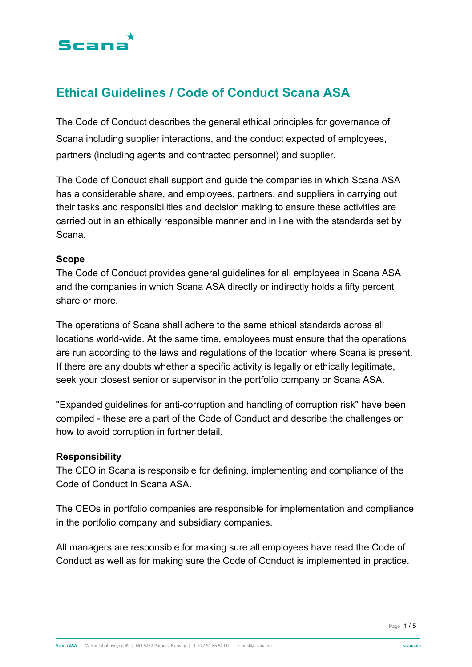

## **Ethical Guidelines / Code of Conduct Scana ASA**

The Code of Conduct describes the general ethical principles for governance of Scana including supplier interactions, and the conduct expected of employees, partners (including agents and contracted personnel) and supplier.

The Code of Conduct shall support and guide the companies in which Scana ASA has a considerable share, and employees, partners, and suppliers in carrying out their tasks and responsibilities and decision making to ensure these activities are carried out in an ethically responsible manner and in line with the standards set by Scana.

#### **Scope**

The Code of Conduct provides general guidelines for all employees in Scana ASA and the companies in which Scana ASA directly or indirectly holds a fifty percent share or more.

The operations of Scana shall adhere to the same ethical standards across all locations world-wide. At the same time, employees must ensure that the operations are run according to the laws and regulations of the location where Scana is present. If there are any doubts whether a specific activity is legally or ethically legitimate, seek your closest senior or supervisor in the portfolio company or Scana ASA.

"Expanded guidelines for anti-corruption and handling of corruption risk" have been compiled - these are a part of the Code of Conduct and describe the challenges on how to avoid corruption in further detail.

#### **Responsibility**

The CEO in Scana is responsible for defining, implementing and compliance of the Code of Conduct in Scana ASA.

The CEOs in portfolio companies are responsible for implementation and compliance in the portfolio company and subsidiary companies.

All managers are responsible for making sure all employees have read the Code of Conduct as well as for making sure the Code of Conduct is implemented in practice.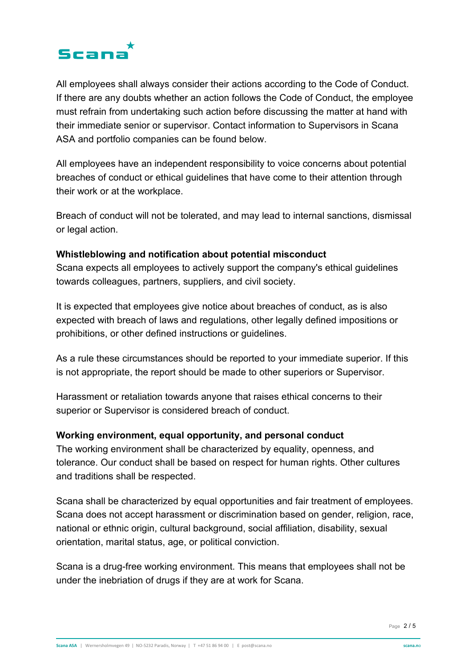

All employees shall always consider their actions according to the Code of Conduct. If there are any doubts whether an action follows the Code of Conduct, the employee must refrain from undertaking such action before discussing the matter at hand with their immediate senior or supervisor. Contact information to Supervisors in Scana ASA and portfolio companies can be found below.

All employees have an independent responsibility to voice concerns about potential breaches of conduct or ethical guidelines that have come to their attention through their work or at the workplace.

Breach of conduct will not be tolerated, and may lead to internal sanctions, dismissal or legal action.

#### **Whistleblowing and notification about potential misconduct**

Scana expects all employees to actively support the company's ethical guidelines towards colleagues, partners, suppliers, and civil society.

It is expected that employees give notice about breaches of conduct, as is also expected with breach of laws and regulations, other legally defined impositions or prohibitions, or other defined instructions or guidelines.

As a rule these circumstances should be reported to your immediate superior. If this is not appropriate, the report should be made to other superiors or Supervisor.

Harassment or retaliation towards anyone that raises ethical concerns to their superior or Supervisor is considered breach of conduct.

#### **Working environment, equal opportunity, and personal conduct**

The working environment shall be characterized by equality, openness, and tolerance. Our conduct shall be based on respect for human rights. Other cultures and traditions shall be respected.

Scana shall be characterized by equal opportunities and fair treatment of employees. Scana does not accept harassment or discrimination based on gender, religion, race, national or ethnic origin, cultural background, social affiliation, disability, sexual orientation, marital status, age, or political conviction.

Scana is a drug-free working environment. This means that employees shall not be under the inebriation of drugs if they are at work for Scana.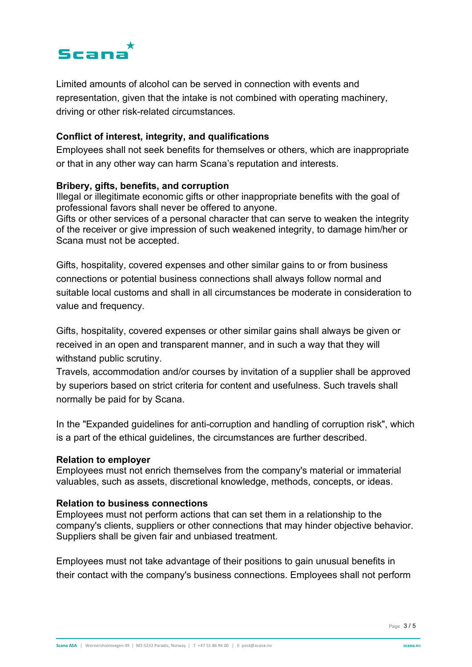

Limited amounts of alcohol can be served in connection with events and representation, given that the intake is not combined with operating machinery, driving or other risk-related circumstances.

#### **Conflict of interest, integrity, and qualifications**

Employees shall not seek benefits for themselves or others, which are inappropriate or that in any other way can harm Scana's reputation and interests.

#### **Bribery, gifts, benefits, and corruption**

Illegal or illegitimate economic gifts or other inappropriate benefits with the goal of professional favors shall never be offered to anyone.

Gifts or other services of a personal character that can serve to weaken the integrity of the receiver or give impression of such weakened integrity, to damage him/her or Scana must not be accepted.

Gifts, hospitality, covered expenses and other similar gains to or from business connections or potential business connections shall always follow normal and suitable local customs and shall in all circumstances be moderate in consideration to value and frequency.

Gifts, hospitality, covered expenses or other similar gains shall always be given or received in an open and transparent manner, and in such a way that they will withstand public scrutiny.

Travels, accommodation and/or courses by invitation of a supplier shall be approved by superiors based on strict criteria for content and usefulness. Such travels shall normally be paid for by Scana.

In the "Expanded guidelines for anti-corruption and handling of corruption risk", which is a part of the ethical guidelines, the circumstances are further described.

#### **Relation to employer**

Employees must not enrich themselves from the company's material or immaterial valuables, such as assets, discretional knowledge, methods, concepts, or ideas.

#### **Relation to business connections**

Employees must not perform actions that can set them in a relationship to the company's clients, suppliers or other connections that may hinder objective behavior. Suppliers shall be given fair and unbiased treatment.

Employees must not take advantage of their positions to gain unusual benefits in their contact with the company's business connections. Employees shall not perform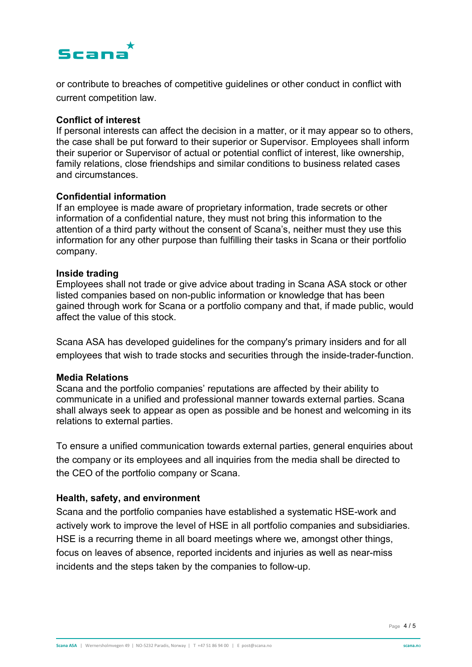# Scana

or contribute to breaches of competitive guidelines or other conduct in conflict with current competition law.

#### **Conflict of interest**

If personal interests can affect the decision in a matter, or it may appear so to others, the case shall be put forward to their superior or Supervisor. Employees shall inform their superior or Supervisor of actual or potential conflict of interest, like ownership, family relations, close friendships and similar conditions to business related cases and circumstances.

#### **Confidential information**

If an employee is made aware of proprietary information, trade secrets or other information of a confidential nature, they must not bring this information to the attention of a third party without the consent of Scana's, neither must they use this information for any other purpose than fulfilling their tasks in Scana or their portfolio company.

#### **Inside trading**

Employees shall not trade or give advice about trading in Scana ASA stock or other listed companies based on non-public information or knowledge that has been gained through work for Scana or a portfolio company and that, if made public, would affect the value of this stock.

Scana ASA has developed guidelines for the company's primary insiders and for all employees that wish to trade stocks and securities through the inside-trader-function.

### **Media Relations**

Scana and the portfolio companies' reputations are affected by their ability to communicate in a unified and professional manner towards external parties. Scana shall always seek to appear as open as possible and be honest and welcoming in its relations to external parties.

To ensure a unified communication towards external parties, general enquiries about the company or its employees and all inquiries from the media shall be directed to the CEO of the portfolio company or Scana.

### **Health, safety, and environment**

Scana and the portfolio companies have established a systematic HSE-work and actively work to improve the level of HSE in all portfolio companies and subsidiaries. HSE is a recurring theme in all board meetings where we, amongst other things, focus on leaves of absence, reported incidents and injuries as well as near-miss incidents and the steps taken by the companies to follow-up.